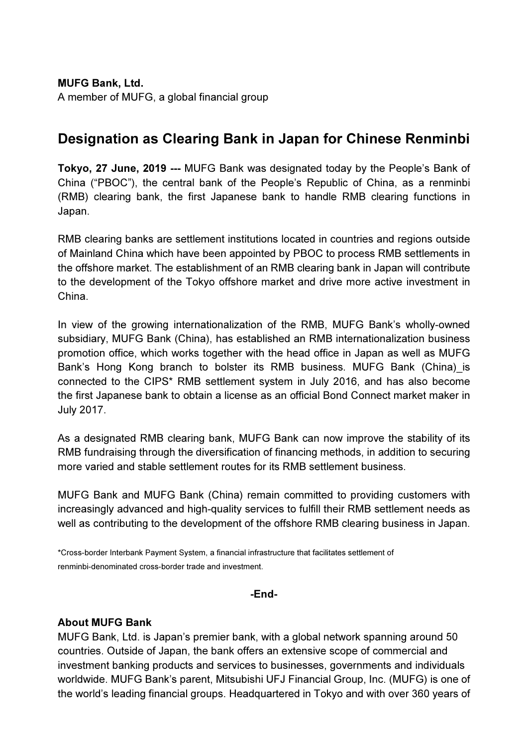MUFG Bank, Ltd. A member of MUFG, a global financial group

## Designation as Clearing Bank in Japan for Chinese Renminbi

Tokyo, 27 June, 2019 --- MUFG Bank was designated today by the People's Bank of China ("PBOC"), the central bank of the People's Republic of China, as a renminbi (RMB) clearing bank, the first Japanese bank to handle RMB clearing functions in Japan.

RMB clearing banks are settlement institutions located in countries and regions outside of Mainland China which have been appointed by PBOC to process RMB settlements in the offshore market. The establishment of an RMB clearing bank in Japan will contribute to the development of the Tokyo offshore market and drive more active investment in China.

In view of the growing internationalization of the RMB, MUFG Bank's wholly-owned subsidiary, MUFG Bank (China), has established an RMB internationalization business promotion office, which works together with the head office in Japan as well as MUFG Bank's Hong Kong branch to bolster its RMB business. MUFG Bank (China)\_is connected to the CIPS\* RMB settlement system in July 2016, and has also become the first Japanese bank to obtain a license as an official Bond Connect market maker in July 2017.

As a designated RMB clearing bank, MUFG Bank can now improve the stability of its RMB fundraising through the diversification of financing methods, in addition to securing more varied and stable settlement routes for its RMB settlement business.

MUFG Bank and MUFG Bank (China) remain committed to providing customers with increasingly advanced and high-quality services to fulfill their RMB settlement needs as well as contributing to the development of the offshore RMB clearing business in Japan.

\*Cross-border Interbank Payment System, a financial infrastructure that facilitates settlement of renminbi-denominated cross-border trade and investment.

## -End-

## About MUFG Bank

MUFG Bank, Ltd. is Japan's premier bank, with a global network spanning around 50 countries. Outside of Japan, the bank offers an extensive scope of commercial and investment banking products and services to businesses, governments and individuals worldwide. MUFG Bank's parent, Mitsubishi UFJ Financial Group, Inc. (MUFG) is one of the world's leading financial groups. Headquartered in Tokyo and with over 360 years of